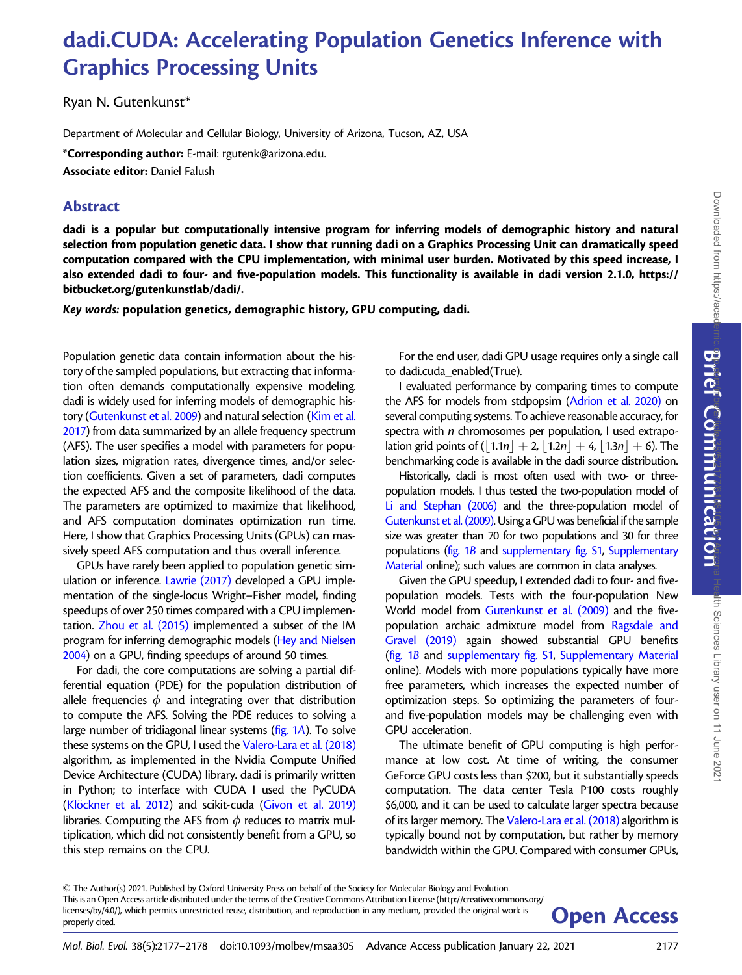Communication

# dadi.CUDA: Accelerating Population Genetics Inference with Graphics Processing Units

Ryan N. Gutenkunst\*

Department of Molecular and Cellular Biology, University of Arizona, Tucson, AZ, USA

\*Corresponding author: E-mail: rgutenk@arizona.edu. Associate editor: Daniel Falush

## Abstract

dadi is a popular but computationally intensive program for inferring models of demographic history and natural selection from population genetic data. I show that running dadi on a Graphics Processing Unit can dramatically speed computation compared with the CPU implementation, with minimal user burden. Motivated by this speed increase, I also extended dadi to four- and five-population models. This functionality is available in dadi version 2.1.0, [https://](https://bitbucket.org/gutenkunstlab/dadi/) [bitbucket.org/gutenkunstlab/dadi/](https://bitbucket.org/gutenkunstlab/dadi/).

Key words: population genetics, demographic history, GPU computing, dadi.

Population genetic data contain information about the history of the sampled populations, but extracting that information often demands computationally expensive modeling. dadi is widely used for inferring models of demographic history ([Gutenkunst et al. 2009](#page-1-0)) and natural selection ([Kim et al.](#page-1-0) [2017\)](#page-1-0) from data summarized by an allele frequency spectrum (AFS). The user specifies a model with parameters for population sizes, migration rates, divergence times, and/or selection coefficients. Given a set of parameters, dadi computes the expected AFS and the composite likelihood of the data. The parameters are optimized to maximize that likelihood, and AFS computation dominates optimization run time. Here, I show that Graphics Processing Units (GPUs) can massively speed AFS computation and thus overall inference.

GPUs have rarely been applied to population genetic simulation or inference. [Lawrie \(2017\)](#page-1-0) developed a GPU implementation of the single-locus Wright–Fisher model, finding speedups of over 250 times compared with a CPU implementation. [Zhou et al. \(2015\)](#page-1-0) implemented a subset of the IM program for inferring demographic models [\(Hey and Nielsen](#page-1-0) [2004\)](#page-1-0) on a GPU, finding speedups of around 50 times.

For dadi, the core computations are solving a partial differential equation (PDE) for the population distribution of allele frequencies  $\phi$  and integrating over that distribution to compute the AFS. Solving the PDE reduces to solving a large number of tridiagonal linear systems ([fig. 1](#page-1-0)A). To solve these systems on the GPU, I used the [Valero-Lara et al. \(2018\)](#page-1-0) algorithm, as implemented in the Nvidia Compute Unified Device Architecture (CUDA) library. dadi is primarily written in Python; to interface with CUDA I used the PyCUDA (Klöckner et al. 2012) and scikit-cuda [\(Givon et al. 2019\)](#page-1-0) libraries. Computing the AFS from  $\phi$  reduces to matrix multiplication, which did not consistently benefit from a GPU, so this step remains on the CPU.

For the end user, dadi GPU usage requires only a single call to dadi.cuda\_enabled(True).

I evaluated performance by comparing times to compute the AFS for models from stdpopsim [\(Adrion et al. 2020\)](#page-1-0) on several computing systems. To achieve reasonable accuracy, for spectra with *n* chromosomes per population, I used extrapolation grid points of  $(|1.1n| + 2, |1.2n| + 4, |1.3n| + 6)$ . The benchmarking code is available in the dadi source distribution.

Historically, dadi is most often used with two- or threepopulation models. I thus tested the two-population model of [Li and Stephan \(2006\)](#page-1-0) and the three-population model of [Gutenkunst et al. \(2009\)](#page-1-0). Using a GPU was beneficial if the sample size was greater than 70 for two populations and 30 for three populations [\(fig. 1](#page-1-0)B and supplementary fig. S1, Supplementary Material online); such values are common in data analyses.

Given the GPU speedup, I extended dadi to four- and fivepopulation models. Tests with the four-population New World model from [Gutenkunst et al. \(2009\)](#page-1-0) and the fivepopulation archaic admixture model from [Ragsdale and](#page-1-0) [Gravel \(2019\)](#page-1-0) again showed substantial GPU benefits [\(fig. 1](#page-1-0)B and supplementary fig. S1, Supplementary Material online). Models with more populations typically have more free parameters, which increases the expected number of optimization steps. So optimizing the parameters of fourand five-population models may be challenging even with GPU acceleration.

The ultimate benefit of GPU computing is high performance at low cost. At time of writing, the consumer GeForce GPU costs less than \$200, but it substantially speeds computation. The data center Tesla P100 costs roughly \$6,000, and it can be used to calculate larger spectra because of its larger memory. The [Valero-Lara et al. \(2018\)](#page-1-0) algorithm is typically bound not by computation, but rather by memory bandwidth within the GPU. Compared with consumer GPUs,

- The Author(s) 2021. Published by Oxford University Press on behalf of the Society for Molecular Biology and Evolution. This is an Open Access article distributed under the terms of the Creative Commons Attribution License (http://creativecommons.org/ licenses/by/4.0/), which permits unrestricted reuse, distribution, and reproduction in any medium, provided the original work is **Open Access**